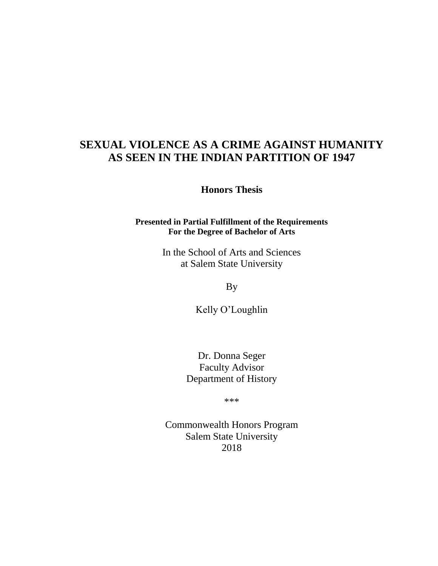# **SEXUAL VIOLENCE AS A CRIME AGAINST HUMANITY AS SEEN IN THE INDIAN PARTITION OF 1947**

**Honors Thesis**

## **Presented in Partial Fulfillment of the Requirements For the Degree of Bachelor of Arts**

In the School of Arts and Sciences at Salem State University

By

Kelly O'Loughlin

Dr. Donna Seger Faculty Advisor Department of History

\*\*\*

Commonwealth Honors Program Salem State University 2018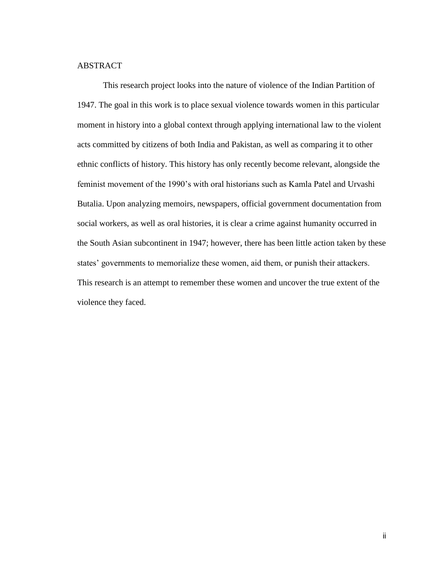## ABSTRACT

This research project looks into the nature of violence of the Indian Partition of 1947. The goal in this work is to place sexual violence towards women in this particular moment in history into a global context through applying international law to the violent acts committed by citizens of both India and Pakistan, as well as comparing it to other ethnic conflicts of history. This history has only recently become relevant, alongside the feminist movement of the 1990's with oral historians such as Kamla Patel and Urvashi Butalia. Upon analyzing memoirs, newspapers, official government documentation from social workers, as well as oral histories, it is clear a crime against humanity occurred in the South Asian subcontinent in 1947; however, there has been little action taken by these states' governments to memorialize these women, aid them, or punish their attackers. This research is an attempt to remember these women and uncover the true extent of the violence they faced.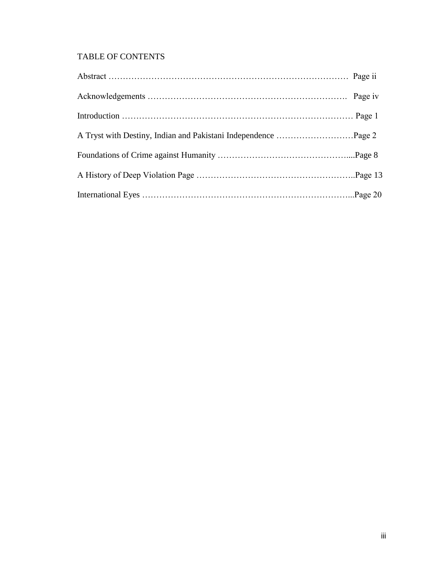## TABLE OF CONTENTS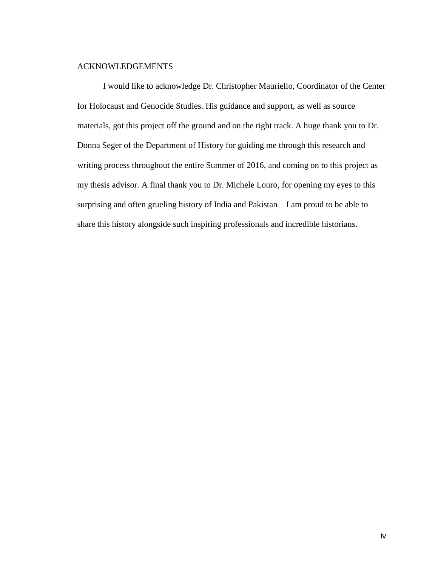#### ACKNOWLEDGEMENTS

I would like to acknowledge Dr. Christopher Mauriello, Coordinator of the Center for Holocaust and Genocide Studies. His guidance and support, as well as source materials, got this project off the ground and on the right track. A huge thank you to Dr. Donna Seger of the Department of History for guiding me through this research and writing process throughout the entire Summer of 2016, and coming on to this project as my thesis advisor. A final thank you to Dr. Michele Louro, for opening my eyes to this surprising and often grueling history of India and Pakistan – I am proud to be able to share this history alongside such inspiring professionals and incredible historians.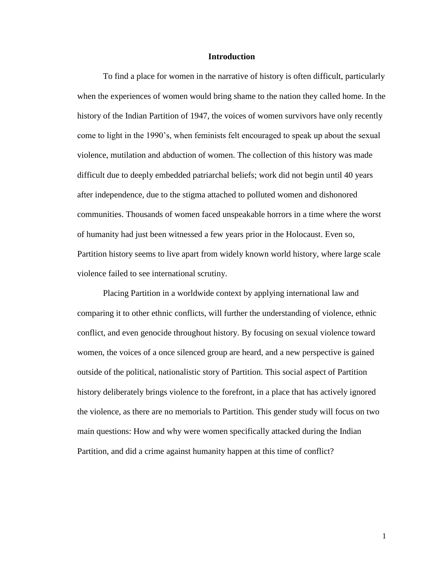#### **Introduction**

To find a place for women in the narrative of history is often difficult, particularly when the experiences of women would bring shame to the nation they called home. In the history of the Indian Partition of 1947, the voices of women survivors have only recently come to light in the 1990's, when feminists felt encouraged to speak up about the sexual violence, mutilation and abduction of women. The collection of this history was made difficult due to deeply embedded patriarchal beliefs; work did not begin until 40 years after independence, due to the stigma attached to polluted women and dishonored communities. Thousands of women faced unspeakable horrors in a time where the worst of humanity had just been witnessed a few years prior in the Holocaust. Even so, Partition history seems to live apart from widely known world history, where large scale violence failed to see international scrutiny.

Placing Partition in a worldwide context by applying international law and comparing it to other ethnic conflicts, will further the understanding of violence, ethnic conflict, and even genocide throughout history. By focusing on sexual violence toward women, the voices of a once silenced group are heard, and a new perspective is gained outside of the political, nationalistic story of Partition. This social aspect of Partition history deliberately brings violence to the forefront, in a place that has actively ignored the violence, as there are no memorials to Partition. This gender study will focus on two main questions: How and why were women specifically attacked during the Indian Partition, and did a crime against humanity happen at this time of conflict?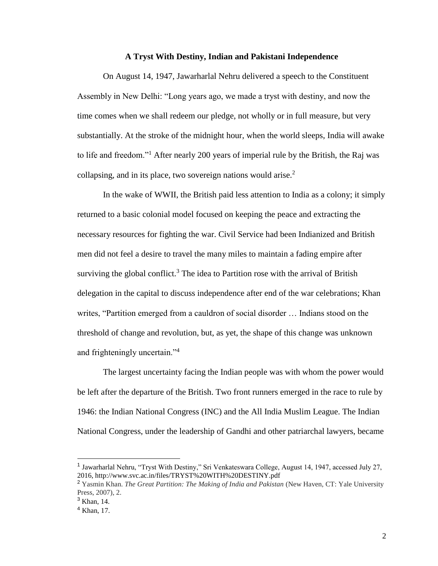#### **A Tryst With Destiny, Indian and Pakistani Independence**

On August 14, 1947, Jawarharlal Nehru delivered a speech to the Constituent Assembly in New Delhi: "Long years ago, we made a tryst with destiny, and now the time comes when we shall redeem our pledge, not wholly or in full measure, but very substantially. At the stroke of the midnight hour, when the world sleeps, India will awake to life and freedom."<sup>1</sup> After nearly 200 years of imperial rule by the British, the Raj was collapsing, and in its place, two sovereign nations would arise. $<sup>2</sup>$ </sup>

In the wake of WWII, the British paid less attention to India as a colony; it simply returned to a basic colonial model focused on keeping the peace and extracting the necessary resources for fighting the war. Civil Service had been Indianized and British men did not feel a desire to travel the many miles to maintain a fading empire after surviving the global conflict.<sup>3</sup> The idea to Partition rose with the arrival of British delegation in the capital to discuss independence after end of the war celebrations; Khan writes, "Partition emerged from a cauldron of social disorder … Indians stood on the threshold of change and revolution, but, as yet, the shape of this change was unknown and frighteningly uncertain."<sup>4</sup>

The largest uncertainty facing the Indian people was with whom the power would be left after the departure of the British. Two front runners emerged in the race to rule by 1946: the Indian National Congress (INC) and the All India Muslim League. The Indian National Congress, under the leadership of Gandhi and other patriarchal lawyers, became

<sup>&</sup>lt;sup>1</sup> Jawarharlal Nehru, "Tryst With Destiny," Sri Venkateswara College, August 14, 1947, accessed July 27, 2016, http://www.svc.ac.in/files/TRYST%20WITH%20DESTINY.pdf

<sup>2</sup> Yasmin Khan. *The Great Partition: The Making of India and Pakistan* (New Haven, CT: Yale University Press, 2007), 2.

<sup>&</sup>lt;sup>3</sup> Khan, 14.

<sup>4</sup> Khan, 17.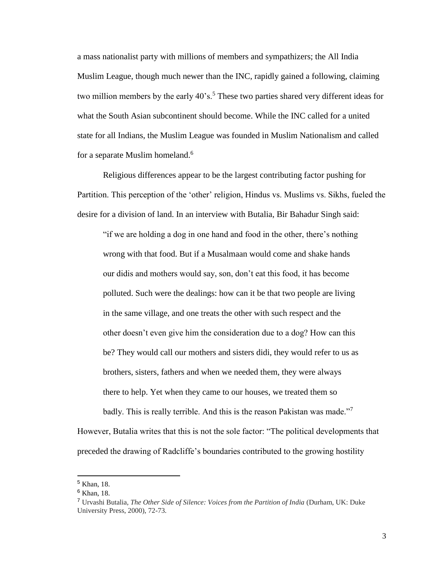a mass nationalist party with millions of members and sympathizers; the All India Muslim League, though much newer than the INC, rapidly gained a following, claiming two million members by the early  $40^\circ s$ .<sup>5</sup> These two parties shared very different ideas for what the South Asian subcontinent should become. While the INC called for a united state for all Indians, the Muslim League was founded in Muslim Nationalism and called for a separate Muslim homeland.<sup>6</sup>

Religious differences appear to be the largest contributing factor pushing for Partition. This perception of the 'other' religion, Hindus vs. Muslims vs. Sikhs, fueled the desire for a division of land. In an interview with Butalia, Bir Bahadur Singh said:

"if we are holding a dog in one hand and food in the other, there's nothing wrong with that food. But if a Musalmaan would come and shake hands our didis and mothers would say, son, don't eat this food, it has become polluted. Such were the dealings: how can it be that two people are living in the same village, and one treats the other with such respect and the other doesn't even give him the consideration due to a dog? How can this be? They would call our mothers and sisters didi, they would refer to us as brothers, sisters, fathers and when we needed them, they were always there to help. Yet when they came to our houses, we treated them so badly. This is really terrible. And this is the reason Pakistan was made."<sup>7</sup>

However, Butalia writes that this is not the sole factor: "The political developments that preceded the drawing of Radcliffe's boundaries contributed to the growing hostility

<sup>5</sup> Khan, 18.

<sup>6</sup> Khan, 18.

<sup>7</sup> Urvashi Butalia, *The Other Side of Silence: Voices from the Partition of India* (Durham, UK: Duke University Press, 2000), 72-73.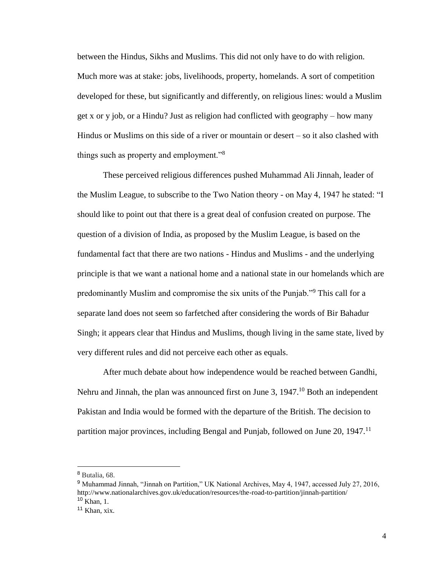between the Hindus, Sikhs and Muslims. This did not only have to do with religion. Much more was at stake: jobs, livelihoods, property, homelands. A sort of competition developed for these, but significantly and differently, on religious lines: would a Muslim get x or y job, or a Hindu? Just as religion had conflicted with geography – how many Hindus or Muslims on this side of a river or mountain or desert – so it also clashed with things such as property and employment."<sup>8</sup>

These perceived religious differences pushed Muhammad Ali Jinnah, leader of the Muslim League, to subscribe to the Two Nation theory - on May 4, 1947 he stated: "I should like to point out that there is a great deal of confusion created on purpose. The question of a division of India, as proposed by the Muslim League, is based on the fundamental fact that there are two nations - Hindus and Muslims - and the underlying principle is that we want a national home and a national state in our homelands which are predominantly Muslim and compromise the six units of the Punjab."<sup>9</sup> This call for a separate land does not seem so farfetched after considering the words of Bir Bahadur Singh; it appears clear that Hindus and Muslims, though living in the same state, lived by very different rules and did not perceive each other as equals.

After much debate about how independence would be reached between Gandhi, Nehru and Jinnah, the plan was announced first on June 3,  $1947$ .<sup>10</sup> Both an independent Pakistan and India would be formed with the departure of the British. The decision to partition major provinces, including Bengal and Punjab, followed on June 20, 1947.<sup>11</sup>

<sup>8</sup> Butalia, 68.

<sup>9</sup> Muhammad Jinnah, "Jinnah on Partition," UK National Archives, May 4, 1947, accessed July 27, 2016, http://www.nationalarchives.gov.uk/education/resources/the-road-to-partition/jinnah-partition/ <sup>10</sup> Khan, 1.

 $11$  Khan, xix.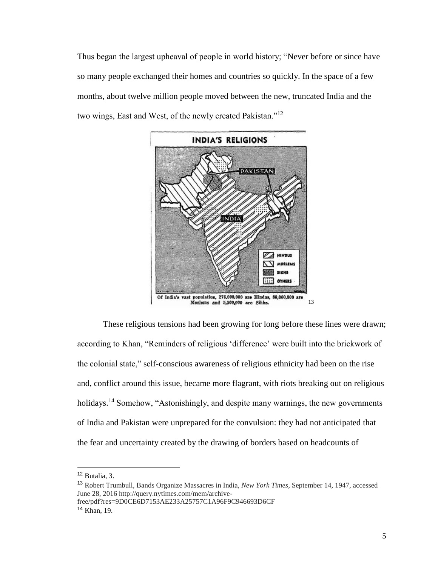Thus began the largest upheaval of people in world history; "Never before or since have so many people exchanged their homes and countries so quickly. In the space of a few months, about twelve million people moved between the new, truncated India and the two wings, East and West, of the newly created Pakistan."<sup>12</sup>



These religious tensions had been growing for long before these lines were drawn; according to Khan, "Reminders of religious 'difference' were built into the brickwork of the colonial state," self-conscious awareness of religious ethnicity had been on the rise and, conflict around this issue, became more flagrant, with riots breaking out on religious holidays.<sup>14</sup> Somehow, "Astonishingly, and despite many warnings, the new governments of India and Pakistan were unprepared for the convulsion: they had not anticipated that the fear and uncertainty created by the drawing of borders based on headcounts of

<sup>12</sup> Butalia, 3.

<sup>13</sup> Robert Trumbull, Bands Organize Massacres in India, *New York Times,* September 14, 1947, accessed June 28, 2016 http://query.nytimes.com/mem/archivefree/pdf?res=9D0CE6D7153AE233A25757C1A96F9C946693D6CF

<sup>14</sup> Khan, 19.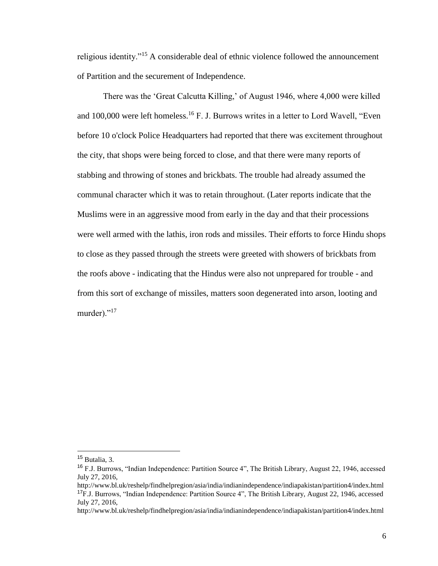religious identity."<sup>15</sup> A considerable deal of ethnic violence followed the announcement of Partition and the securement of Independence.

There was the 'Great Calcutta Killing,' of August 1946, where 4,000 were killed and  $100,000$  were left homeless.<sup>16</sup> F. J. Burrows writes in a letter to Lord Wavell, "Even before 10 o'clock Police Headquarters had reported that there was excitement throughout the city, that shops were being forced to close, and that there were many reports of stabbing and throwing of stones and brickbats. The trouble had already assumed the communal character which it was to retain throughout. (Later reports indicate that the Muslims were in an aggressive mood from early in the day and that their processions were well armed with the lathis, iron rods and missiles. Their efforts to force Hindu shops to close as they passed through the streets were greeted with showers of brickbats from the roofs above - indicating that the Hindus were also not unprepared for trouble - and from this sort of exchange of missiles, matters soon degenerated into arson, looting and murder)."<sup>17</sup>

<sup>15</sup> Butalia, 3.

<sup>&</sup>lt;sup>16</sup> F.J. Burrows, "Indian Independence: Partition Source 4", The British Library, August 22, 1946, accessed July 27, 2016,

http://www.bl.uk/reshelp/findhelpregion/asia/india/indianindependence/indiapakistan/partition4/index.html <sup>17</sup>F.J. Burrows, "Indian Independence: Partition Source 4", The British Library, August 22, 1946, accessed July 27, 2016,

http://www.bl.uk/reshelp/findhelpregion/asia/india/indianindependence/indiapakistan/partition4/index.html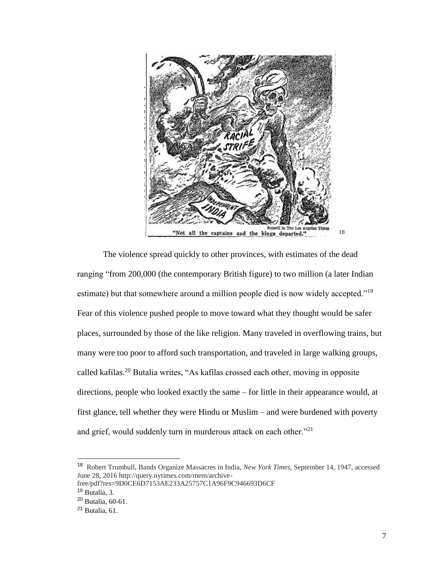

The violence spread quickly to other provinces, with estimates of the dead ranging "from 200,000 (the contemporary British figure) to two million (a later Indian estimate) but that somewhere around a million people died is now widely accepted."<sup>19</sup> Fear of this violence pushed people to move toward what they thought would be safer places, surrounded by those of the like religion. Many traveled in overflowing trains, but many were too poor to afford such transportation, and traveled in large walking groups, called kafilas.<sup>20</sup> Butalia writes, "As kafilas crossed each other, moving in opposite directions, people who looked exactly the same – for little in their appearance would, at first glance, tell whether they were Hindu or Muslim – and were burdened with poverty and grief, would suddenly turn in murderous attack on each other."<sup>21</sup>

<sup>18</sup> Robert Trumbull, Bands Organize Massacres in India, *New York Times,* September 14, 1947, accessed June 28, 2016 http://query.nytimes.com/mem/archive-

free/pdf?res=9D0CE6D7153AE233A25757C1A96F9C946693D6CF <sup>19</sup> Butalia, 3.

<sup>20</sup> Butalia, 60-61.

 $21$  Butalia, 61.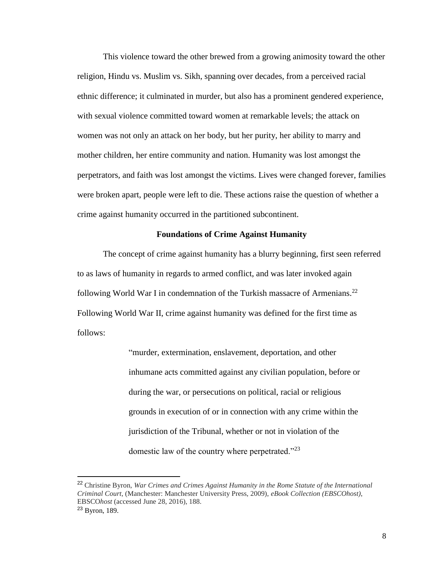This violence toward the other brewed from a growing animosity toward the other religion, Hindu vs. Muslim vs. Sikh, spanning over decades, from a perceived racial ethnic difference; it culminated in murder, but also has a prominent gendered experience, with sexual violence committed toward women at remarkable levels; the attack on women was not only an attack on her body, but her purity, her ability to marry and mother children, her entire community and nation. Humanity was lost amongst the perpetrators, and faith was lost amongst the victims. Lives were changed forever, families were broken apart, people were left to die. These actions raise the question of whether a crime against humanity occurred in the partitioned subcontinent.

#### **Foundations of Crime Against Humanity**

The concept of crime against humanity has a blurry beginning, first seen referred to as laws of humanity in regards to armed conflict, and was later invoked again following World War I in condemnation of the Turkish massacre of Armenians.<sup>22</sup> Following World War II, crime against humanity was defined for the first time as follows:

> "murder, extermination, enslavement, deportation, and other inhumane acts committed against any civilian population, before or during the war, or persecutions on political, racial or religious grounds in execution of or in connection with any crime within the jurisdiction of the Tribunal, whether or not in violation of the domestic law of the country where perpetrated."<sup>23</sup>

<sup>22</sup> Christine Byron, *War Crimes and Crimes Against Humanity in the Rome Statute of the International Criminal Court*, (Manchester: Manchester University Press, 2009), *eBook Collection (EBSCOhost)*, EBSCO*host* (accessed June 28, 2016), 188. <sup>23</sup> Byron, 189.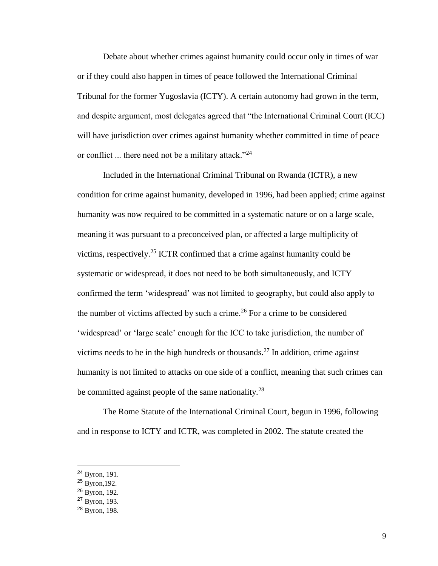Debate about whether crimes against humanity could occur only in times of war or if they could also happen in times of peace followed the International Criminal Tribunal for the former Yugoslavia (ICTY). A certain autonomy had grown in the term, and despite argument, most delegates agreed that "the International Criminal Court (ICC) will have jurisdiction over crimes against humanity whether committed in time of peace or conflict ... there need not be a military attack."<sup>24</sup>

Included in the International Criminal Tribunal on Rwanda (ICTR), a new condition for crime against humanity, developed in 1996, had been applied; crime against humanity was now required to be committed in a systematic nature or on a large scale, meaning it was pursuant to a preconceived plan, or affected a large multiplicity of victims, respectively.<sup>25</sup> ICTR confirmed that a crime against humanity could be systematic or widespread, it does not need to be both simultaneously, and ICTY confirmed the term 'widespread' was not limited to geography, but could also apply to the number of victims affected by such a crime.<sup>26</sup> For a crime to be considered 'widespread' or 'large scale' enough for the ICC to take jurisdiction, the number of victims needs to be in the high hundreds or thousands.<sup>27</sup> In addition, crime against humanity is not limited to attacks on one side of a conflict, meaning that such crimes can be committed against people of the same nationality.<sup>28</sup>

The Rome Statute of the International Criminal Court, begun in 1996, following and in response to ICTY and ICTR, was completed in 2002. The statute created the

<sup>24</sup> Byron, 191.

 $^{25}$  Byron, 192.

<sup>26</sup> Byron, 192.

<sup>27</sup> Byron, 193.

<sup>28</sup> Byron, 198.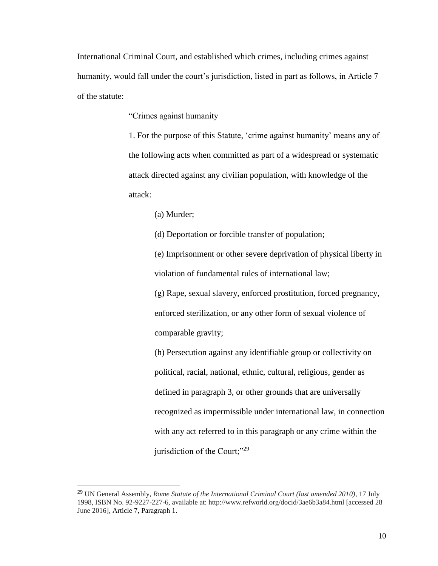International Criminal Court, and established which crimes, including crimes against humanity, would fall under the court's jurisdiction, listed in part as follows, in Article 7 of the statute:

"Crimes against humanity

1. For the purpose of this Statute, 'crime against humanity' means any of the following acts when committed as part of a widespread or systematic attack directed against any civilian population, with knowledge of the attack:

(a) Murder;

(d) Deportation or forcible transfer of population;

(e) Imprisonment or other severe deprivation of physical liberty in violation of fundamental rules of international law;

(g) Rape, sexual slavery, enforced prostitution, forced pregnancy, enforced sterilization, or any other form of sexual violence of comparable gravity;

(h) Persecution against any identifiable group or collectivity on political, racial, national, ethnic, cultural, religious, gender as defined in paragraph 3, or other grounds that are universally recognized as impermissible under international law, in connection with any act referred to in this paragraph or any crime within the jurisdiction of the Court;"<sup>29</sup>

<sup>29</sup> UN General Assembly, *Rome Statute of the International Criminal Court (last amended 2010)*, 17 July 1998, ISBN No. 92-9227-227-6, available at: http://www.refworld.org/docid/3ae6b3a84.html [accessed 28 June 2016], Article 7, Paragraph 1.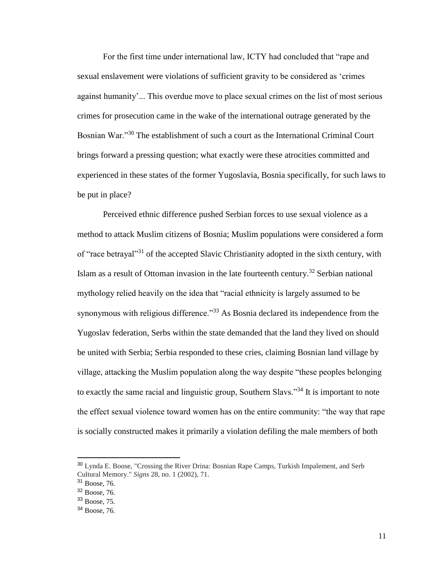For the first time under international law, ICTY had concluded that "rape and sexual enslavement were violations of sufficient gravity to be considered as 'crimes against humanity'... This overdue move to place sexual crimes on the list of most serious crimes for prosecution came in the wake of the international outrage generated by the Bosnian War."<sup>30</sup> The establishment of such a court as the International Criminal Court brings forward a pressing question; what exactly were these atrocities committed and experienced in these states of the former Yugoslavia, Bosnia specifically, for such laws to be put in place?

Perceived ethnic difference pushed Serbian forces to use sexual violence as a method to attack Muslim citizens of Bosnia; Muslim populations were considered a form of "race betrayal"<sup>31</sup> of the accepted Slavic Christianity adopted in the sixth century, with Islam as a result of Ottoman invasion in the late fourteenth century.<sup>32</sup> Serbian national mythology relied heavily on the idea that "racial ethnicity is largely assumed to be synonymous with religious difference."<sup>33</sup> As Bosnia declared its independence from the Yugoslav federation, Serbs within the state demanded that the land they lived on should be united with Serbia; Serbia responded to these cries, claiming Bosnian land village by village, attacking the Muslim population along the way despite "these peoples belonging to exactly the same racial and linguistic group, Southern Slavs."<sup>34</sup> It is important to note the effect sexual violence toward women has on the entire community: "the way that rape is socially constructed makes it primarily a violation defiling the male members of both

<sup>30</sup> Lynda E. Boose, "Crossing the River Drina: Bosnian Rape Camps, Turkish Impalement, and Serb Cultural Memory." *Signs* 28, no. 1 (2002), 71.

<sup>31</sup> Boose, 76.

<sup>32</sup> Boose, 76.

<sup>33</sup> Boose, 75.

<sup>34</sup> Boose, 76.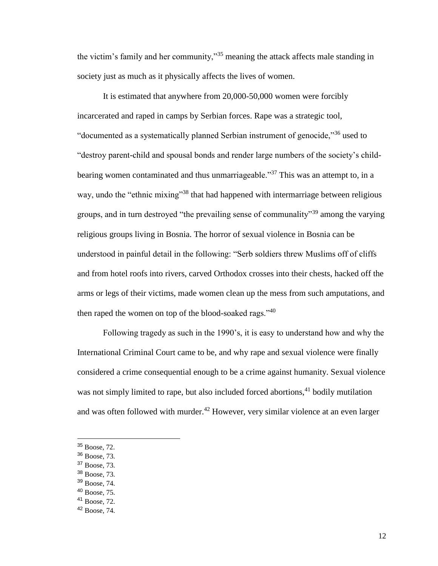the victim's family and her community,"<sup>35</sup> meaning the attack affects male standing in society just as much as it physically affects the lives of women.

It is estimated that anywhere from 20,000-50,000 women were forcibly incarcerated and raped in camps by Serbian forces. Rape was a strategic tool, "documented as a systematically planned Serbian instrument of genocide,"<sup>36</sup> used to "destroy parent-child and spousal bonds and render large numbers of the society's childbearing women contaminated and thus unmarriageable."<sup>37</sup> This was an attempt to, in a way, undo the "ethnic mixing"<sup>38</sup> that had happened with intermarriage between religious groups, and in turn destroyed "the prevailing sense of communality"<sup>39</sup> among the varying religious groups living in Bosnia. The horror of sexual violence in Bosnia can be understood in painful detail in the following: "Serb soldiers threw Muslims off of cliffs and from hotel roofs into rivers, carved Orthodox crosses into their chests, hacked off the arms or legs of their victims, made women clean up the mess from such amputations, and then raped the women on top of the blood-soaked rags."<sup>40</sup>

Following tragedy as such in the 1990's, it is easy to understand how and why the International Criminal Court came to be, and why rape and sexual violence were finally considered a crime consequential enough to be a crime against humanity. Sexual violence was not simply limited to rape, but also included forced abortions,<sup>41</sup> bodily mutilation and was often followed with murder.<sup>42</sup> However, very similar violence at an even larger

- <sup>37</sup> Boose, 73.
- <sup>38</sup> Boose, 73.
- <sup>39</sup> Boose, 74.

<sup>41</sup> Boose, 72.

<sup>35</sup> Boose, 72.

<sup>36</sup> Boose, 73.

<sup>40</sup> Boose, 75.

<sup>42</sup> Boose, 74.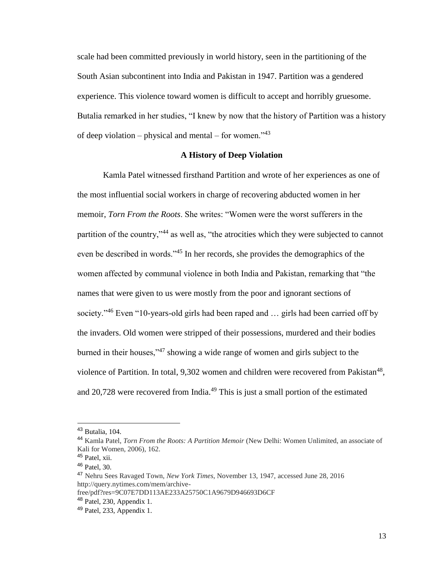scale had been committed previously in world history, seen in the partitioning of the South Asian subcontinent into India and Pakistan in 1947. Partition was a gendered experience. This violence toward women is difficult to accept and horribly gruesome. Butalia remarked in her studies, "I knew by now that the history of Partition was a history of deep violation – physical and mental – for women." $43$ 

#### **A History of Deep Violation**

Kamla Patel witnessed firsthand Partition and wrote of her experiences as one of the most influential social workers in charge of recovering abducted women in her memoir, *Torn From the Roots*. She writes: "Women were the worst sufferers in the partition of the country,"<sup>44</sup> as well as, "the atrocities which they were subjected to cannot even be described in words."<sup>45</sup> In her records, she provides the demographics of the women affected by communal violence in both India and Pakistan, remarking that "the names that were given to us were mostly from the poor and ignorant sections of society."<sup>46</sup> Even "10-years-old girls had been raped and ... girls had been carried off by the invaders. Old women were stripped of their possessions, murdered and their bodies burned in their houses,"<sup>47</sup> showing a wide range of women and girls subject to the violence of Partition. In total,  $9,302$  women and children were recovered from Pakistan<sup>48</sup>, and 20,728 were recovered from India.<sup>49</sup> This is just a small portion of the estimated

<sup>43</sup> Butalia, 104.

<sup>44</sup> Kamla Patel, *Torn From the Roots: A Partition Memoir* (New Delhi: Women Unlimited, an associate of Kali for Women, 2006), 162.

<sup>&</sup>lt;sup>45</sup> Patel, xii.

<sup>46</sup> Patel, 30.

<sup>47</sup> Nehru Sees Ravaged Town, *New York Times*, November 13, 1947, accessed June 28, 2016 http://query.nytimes.com/mem/archive-

free/pdf?res=9C07E7DD113AE233A25750C1A9679D946693D6CF

<sup>48</sup> Patel, 230, Appendix 1.

<sup>49</sup> Patel, 233, Appendix 1.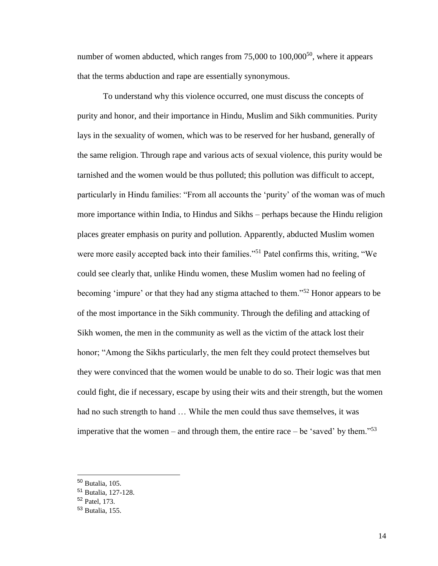number of women abducted, which ranges from  $75,000$  to  $100,000^{50}$ , where it appears that the terms abduction and rape are essentially synonymous.

To understand why this violence occurred, one must discuss the concepts of purity and honor, and their importance in Hindu, Muslim and Sikh communities. Purity lays in the sexuality of women, which was to be reserved for her husband, generally of the same religion. Through rape and various acts of sexual violence, this purity would be tarnished and the women would be thus polluted; this pollution was difficult to accept, particularly in Hindu families: "From all accounts the 'purity' of the woman was of much more importance within India, to Hindus and Sikhs – perhaps because the Hindu religion places greater emphasis on purity and pollution. Apparently, abducted Muslim women were more easily accepted back into their families."<sup>51</sup> Patel confirms this, writing, "We could see clearly that, unlike Hindu women, these Muslim women had no feeling of becoming 'impure' or that they had any stigma attached to them."<sup>52</sup> Honor appears to be of the most importance in the Sikh community. Through the defiling and attacking of Sikh women, the men in the community as well as the victim of the attack lost their honor; "Among the Sikhs particularly, the men felt they could protect themselves but they were convinced that the women would be unable to do so. Their logic was that men could fight, die if necessary, escape by using their wits and their strength, but the women had no such strength to hand … While the men could thus save themselves, it was imperative that the women – and through them, the entire race – be 'saved' by them."<sup>53</sup>

<sup>50</sup> Butalia, 105.

<sup>51</sup> Butalia, 127-128.

<sup>52</sup> Patel, 173.

<sup>53</sup> Butalia, 155.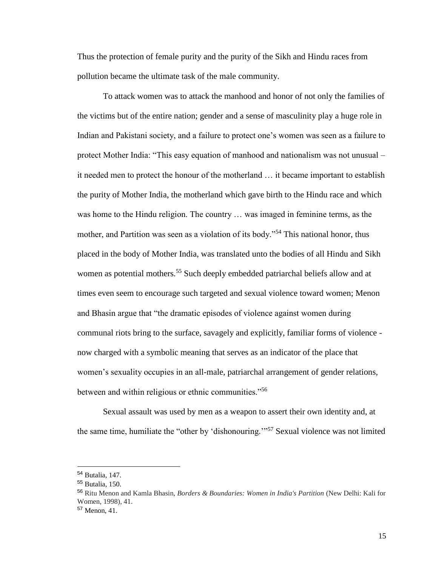Thus the protection of female purity and the purity of the Sikh and Hindu races from pollution became the ultimate task of the male community.

To attack women was to attack the manhood and honor of not only the families of the victims but of the entire nation; gender and a sense of masculinity play a huge role in Indian and Pakistani society, and a failure to protect one's women was seen as a failure to protect Mother India: "This easy equation of manhood and nationalism was not unusual – it needed men to protect the honour of the motherland … it became important to establish the purity of Mother India, the motherland which gave birth to the Hindu race and which was home to the Hindu religion. The country … was imaged in feminine terms, as the mother, and Partition was seen as a violation of its body."<sup>54</sup> This national honor, thus placed in the body of Mother India, was translated unto the bodies of all Hindu and Sikh women as potential mothers.<sup>55</sup> Such deeply embedded patriarchal beliefs allow and at times even seem to encourage such targeted and sexual violence toward women; Menon and Bhasin argue that "the dramatic episodes of violence against women during communal riots bring to the surface, savagely and explicitly, familiar forms of violence now charged with a symbolic meaning that serves as an indicator of the place that women's sexuality occupies in an all-male, patriarchal arrangement of gender relations, between and within religious or ethnic communities."<sup>56</sup>

Sexual assault was used by men as a weapon to assert their own identity and, at the same time, humiliate the "other by 'dishonouring.'"<sup>57</sup> Sexual violence was not limited

<sup>54</sup> Butalia, 147.

<sup>55</sup> Butalia, 150.

<sup>56</sup> Ritu Menon and Kamla Bhasin, *Borders & Boundaries: Women in India's Partition* (New Delhi: Kali for Women, 1998), 41.

<sup>57</sup> Menon, 41.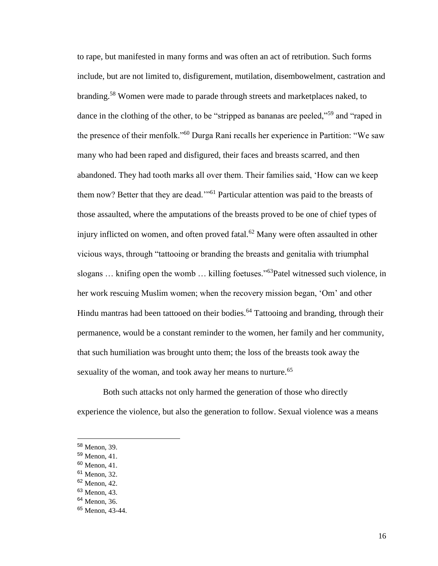to rape, but manifested in many forms and was often an act of retribution. Such forms include, but are not limited to, disfigurement, mutilation, disembowelment, castration and branding.<sup>58</sup> Women were made to parade through streets and marketplaces naked, to dance in the clothing of the other, to be "stripped as bananas are peeled,"<sup>59</sup> and "raped in the presence of their menfolk."<sup>60</sup> Durga Rani recalls her experience in Partition: "We saw many who had been raped and disfigured, their faces and breasts scarred, and then abandoned. They had tooth marks all over them. Their families said, 'How can we keep them now? Better that they are dead."<sup>61</sup> Particular attention was paid to the breasts of those assaulted, where the amputations of the breasts proved to be one of chief types of injury inflicted on women, and often proved fatal.<sup>62</sup> Many were often assaulted in other vicious ways, through "tattooing or branding the breasts and genitalia with triumphal slogans ... knifing open the womb ... killing foetuses."<sup>63</sup>Patel witnessed such violence, in her work rescuing Muslim women; when the recovery mission began, 'Om' and other Hindu mantras had been tattooed on their bodies.<sup>64</sup> Tattooing and branding, through their permanence, would be a constant reminder to the women, her family and her community, that such humiliation was brought unto them; the loss of the breasts took away the sexuality of the woman, and took away her means to nurture.<sup>65</sup>

Both such attacks not only harmed the generation of those who directly experience the violence, but also the generation to follow. Sexual violence was a means

<sup>60</sup> Menon, 41.

<sup>58</sup> Menon, 39.

<sup>59</sup> Menon, 41.

<sup>61</sup> Menon, 32.

<sup>62</sup> Menon, 42.

<sup>63</sup> Menon, 43.

<sup>64</sup> Menon, 36.

<sup>65</sup> Menon, 43-44.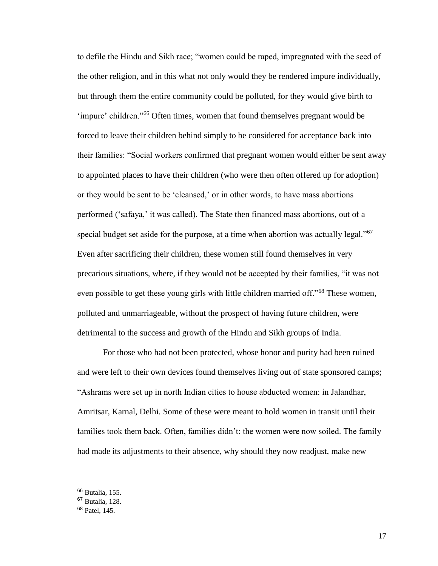to defile the Hindu and Sikh race; "women could be raped, impregnated with the seed of the other religion, and in this what not only would they be rendered impure individually, but through them the entire community could be polluted, for they would give birth to 'impure' children."<sup>66</sup> Often times, women that found themselves pregnant would be forced to leave their children behind simply to be considered for acceptance back into their families: "Social workers confirmed that pregnant women would either be sent away to appointed places to have their children (who were then often offered up for adoption) or they would be sent to be 'cleansed,' or in other words, to have mass abortions performed ('safaya,' it was called). The State then financed mass abortions, out of a special budget set aside for the purpose, at a time when abortion was actually legal. $10^{67}$ Even after sacrificing their children, these women still found themselves in very precarious situations, where, if they would not be accepted by their families, "it was not even possible to get these young girls with little children married off."<sup>68</sup> These women, polluted and unmarriageable, without the prospect of having future children, were detrimental to the success and growth of the Hindu and Sikh groups of India.

For those who had not been protected, whose honor and purity had been ruined and were left to their own devices found themselves living out of state sponsored camps; "Ashrams were set up in north Indian cities to house abducted women: in Jalandhar, Amritsar, Karnal, Delhi. Some of these were meant to hold women in transit until their families took them back. Often, families didn't: the women were now soiled. The family had made its adjustments to their absence, why should they now readjust, make new

<sup>66</sup> Butalia, 155.

<sup>67</sup> Butalia, 128.

<sup>68</sup> Patel, 145.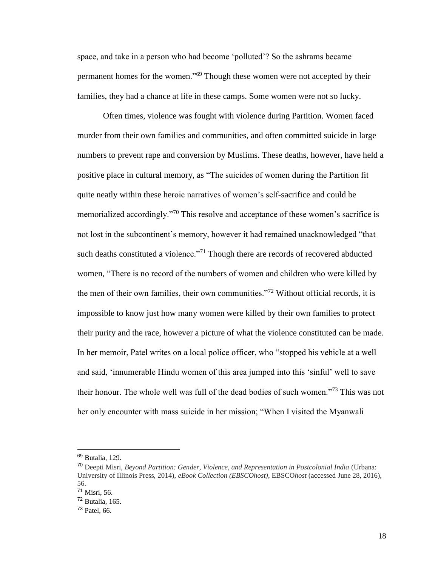space, and take in a person who had become 'polluted'? So the ashrams became permanent homes for the women."<sup>69</sup> Though these women were not accepted by their families, they had a chance at life in these camps. Some women were not so lucky.

Often times, violence was fought with violence during Partition. Women faced murder from their own families and communities, and often committed suicide in large numbers to prevent rape and conversion by Muslims. These deaths, however, have held a positive place in cultural memory, as "The suicides of women during the Partition fit quite neatly within these heroic narratives of women's self-sacrifice and could be memorialized accordingly."<sup>70</sup> This resolve and acceptance of these women's sacrifice is not lost in the subcontinent's memory, however it had remained unacknowledged "that such deaths constituted a violence."<sup>71</sup> Though there are records of recovered abducted women, "There is no record of the numbers of women and children who were killed by the men of their own families, their own communities."<sup>72</sup> Without official records, it is impossible to know just how many women were killed by their own families to protect their purity and the race, however a picture of what the violence constituted can be made. In her memoir, Patel writes on a local police officer, who "stopped his vehicle at a well and said, 'innumerable Hindu women of this area jumped into this 'sinful' well to save their honour. The whole well was full of the dead bodies of such women."<sup>73</sup> This was not her only encounter with mass suicide in her mission; "When I visited the Myanwali

<sup>69</sup> Butalia, 129.

<sup>70</sup> Deepti Misri, *Beyond Partition: Gender, Violence, and Representation in Postcolonial India* (Urbana: University of Illinois Press, 2014), *eBook Collection (EBSCOhost)*, EBSCO*host* (accessed June 28, 2016), 56.

<sup>71</sup> Misri, 56.

 $72$  Butalia, 165.

<sup>73</sup> Patel, 66.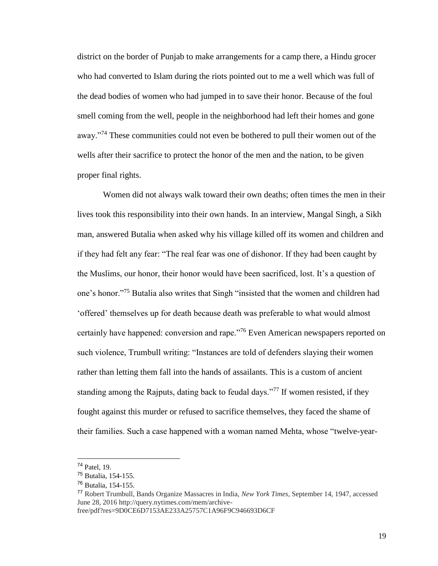district on the border of Punjab to make arrangements for a camp there, a Hindu grocer who had converted to Islam during the riots pointed out to me a well which was full of the dead bodies of women who had jumped in to save their honor. Because of the foul smell coming from the well, people in the neighborhood had left their homes and gone away."<sup>74</sup> These communities could not even be bothered to pull their women out of the wells after their sacrifice to protect the honor of the men and the nation, to be given proper final rights.

Women did not always walk toward their own deaths; often times the men in their lives took this responsibility into their own hands. In an interview, Mangal Singh, a Sikh man, answered Butalia when asked why his village killed off its women and children and if they had felt any fear: "The real fear was one of dishonor. If they had been caught by the Muslims, our honor, their honor would have been sacrificed, lost. It's a question of one's honor."<sup>75</sup> Butalia also writes that Singh "insisted that the women and children had 'offered' themselves up for death because death was preferable to what would almost certainly have happened: conversion and rape."<sup>76</sup> Even American newspapers reported on such violence, Trumbull writing: "Instances are told of defenders slaying their women rather than letting them fall into the hands of assailants. This is a custom of ancient standing among the Rajputs, dating back to feudal days."<sup>77</sup> If women resisted, if they fought against this murder or refused to sacrifice themselves, they faced the shame of their families. Such a case happened with a woman named Mehta, whose "twelve-year-

 $74$  Patel, 19.

<sup>75</sup> Butalia, 154-155.

<sup>76</sup> Butalia, 154-155.

<sup>77</sup> Robert Trumbull, Bands Organize Massacres in India, *New York Times,* September 14, 1947, accessed June 28, 2016 http://query.nytimes.com/mem/archive-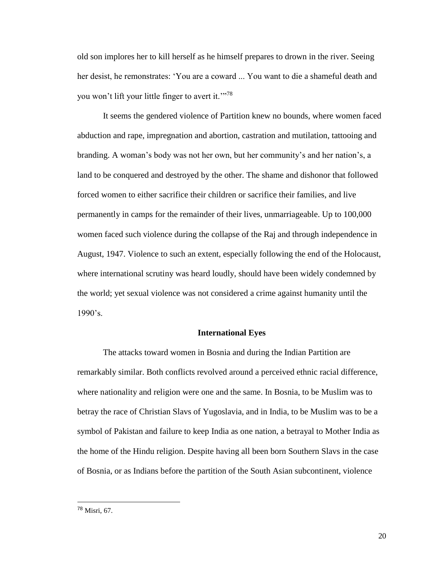old son implores her to kill herself as he himself prepares to drown in the river. Seeing her desist, he remonstrates: 'You are a coward ... You want to die a shameful death and you won't lift your little finger to avert it."<sup>78</sup>

It seems the gendered violence of Partition knew no bounds, where women faced abduction and rape, impregnation and abortion, castration and mutilation, tattooing and branding. A woman's body was not her own, but her community's and her nation's, a land to be conquered and destroyed by the other. The shame and dishonor that followed forced women to either sacrifice their children or sacrifice their families, and live permanently in camps for the remainder of their lives, unmarriageable. Up to 100,000 women faced such violence during the collapse of the Raj and through independence in August, 1947. Violence to such an extent, especially following the end of the Holocaust, where international scrutiny was heard loudly, should have been widely condemned by the world; yet sexual violence was not considered a crime against humanity until the  $1990's.$ 

#### **International Eyes**

The attacks toward women in Bosnia and during the Indian Partition are remarkably similar. Both conflicts revolved around a perceived ethnic racial difference, where nationality and religion were one and the same. In Bosnia, to be Muslim was to betray the race of Christian Slavs of Yugoslavia, and in India, to be Muslim was to be a symbol of Pakistan and failure to keep India as one nation, a betrayal to Mother India as the home of the Hindu religion. Despite having all been born Southern Slavs in the case of Bosnia, or as Indians before the partition of the South Asian subcontinent, violence

<sup>78</sup> Misri, 67.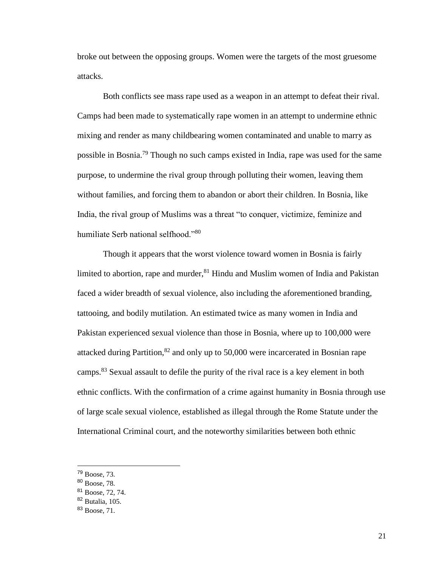broke out between the opposing groups. Women were the targets of the most gruesome attacks.

Both conflicts see mass rape used as a weapon in an attempt to defeat their rival. Camps had been made to systematically rape women in an attempt to undermine ethnic mixing and render as many childbearing women contaminated and unable to marry as possible in Bosnia.<sup>79</sup> Though no such camps existed in India, rape was used for the same purpose, to undermine the rival group through polluting their women, leaving them without families, and forcing them to abandon or abort their children. In Bosnia, like India, the rival group of Muslims was a threat "to conquer, victimize, feminize and humiliate Serb national selfhood."<sup>80</sup>

Though it appears that the worst violence toward women in Bosnia is fairly limited to abortion, rape and murder,  $81$  Hindu and Muslim women of India and Pakistan faced a wider breadth of sexual violence, also including the aforementioned branding, tattooing, and bodily mutilation. An estimated twice as many women in India and Pakistan experienced sexual violence than those in Bosnia, where up to 100,000 were attacked during Partition,  $82$  and only up to 50,000 were incarcerated in Bosnian rape camps.<sup>83</sup> Sexual assault to defile the purity of the rival race is a key element in both ethnic conflicts. With the confirmation of a crime against humanity in Bosnia through use of large scale sexual violence, established as illegal through the Rome Statute under the International Criminal court, and the noteworthy similarities between both ethnic

<sup>79</sup> Boose, 73.

<sup>80</sup> Boose, 78.

<sup>81</sup> Boose, 72, 74.

<sup>82</sup> Butalia, 105.

<sup>83</sup> Boose, 71.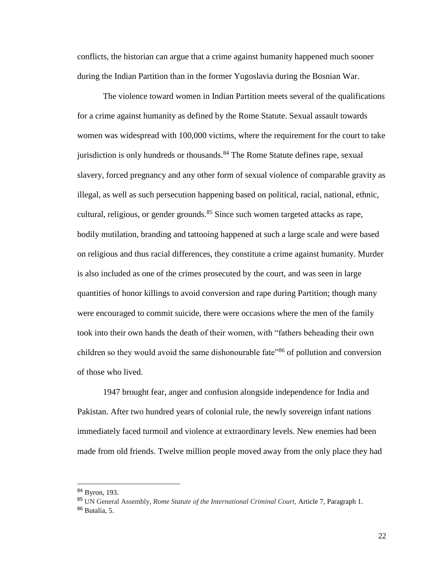conflicts, the historian can argue that a crime against humanity happened much sooner during the Indian Partition than in the former Yugoslavia during the Bosnian War.

The violence toward women in Indian Partition meets several of the qualifications for a crime against humanity as defined by the Rome Statute. Sexual assault towards women was widespread with 100,000 victims, where the requirement for the court to take jurisdiction is only hundreds or thousands.<sup>84</sup> The Rome Statute defines rape, sexual slavery, forced pregnancy and any other form of sexual violence of comparable gravity as illegal, as well as such persecution happening based on political, racial, national, ethnic, cultural, religious, or gender grounds.<sup>85</sup> Since such women targeted attacks as rape, bodily mutilation, branding and tattooing happened at such a large scale and were based on religious and thus racial differences, they constitute a crime against humanity. Murder is also included as one of the crimes prosecuted by the court, and was seen in large quantities of honor killings to avoid conversion and rape during Partition; though many were encouraged to commit suicide, there were occasions where the men of the family took into their own hands the death of their women, with "fathers beheading their own children so they would avoid the same dishonourable fate<sup>386</sup> of pollution and conversion of those who lived.

1947 brought fear, anger and confusion alongside independence for India and Pakistan. After two hundred years of colonial rule, the newly sovereign infant nations immediately faced turmoil and violence at extraordinary levels. New enemies had been made from old friends. Twelve million people moved away from the only place they had

<sup>84</sup> Byron, 193.

<sup>85</sup> UN General Assembly, *Rome Statute of the International Criminal Court,* Article 7, Paragraph 1.

<sup>86</sup> Butalia, 5.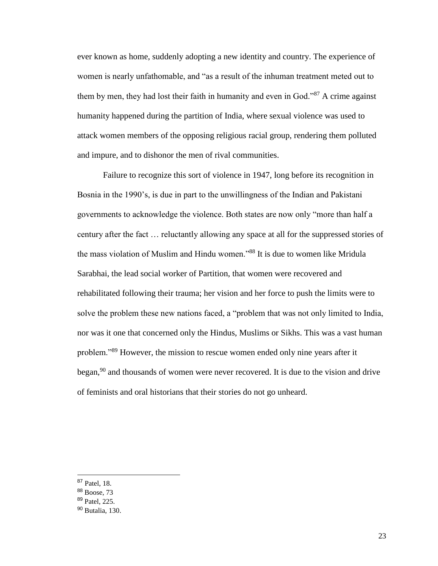ever known as home, suddenly adopting a new identity and country. The experience of women is nearly unfathomable, and "as a result of the inhuman treatment meted out to them by men, they had lost their faith in humanity and even in God."<sup>87</sup> A crime against humanity happened during the partition of India, where sexual violence was used to attack women members of the opposing religious racial group, rendering them polluted and impure, and to dishonor the men of rival communities.

Failure to recognize this sort of violence in 1947, long before its recognition in Bosnia in the 1990's, is due in part to the unwillingness of the Indian and Pakistani governments to acknowledge the violence. Both states are now only "more than half a century after the fact … reluctantly allowing any space at all for the suppressed stories of the mass violation of Muslim and Hindu women."<sup>88</sup> It is due to women like Mridula Sarabhai, the lead social worker of Partition, that women were recovered and rehabilitated following their trauma; her vision and her force to push the limits were to solve the problem these new nations faced, a "problem that was not only limited to India, nor was it one that concerned only the Hindus, Muslims or Sikhs. This was a vast human problem."<sup>89</sup> However, the mission to rescue women ended only nine years after it began,  $90$  and thousands of women were never recovered. It is due to the vision and drive of feminists and oral historians that their stories do not go unheard.

<sup>87</sup> Patel, 18.

<sup>88</sup> Boose, 73

<sup>89</sup> Patel, 225.

<sup>90</sup> Butalia, 130.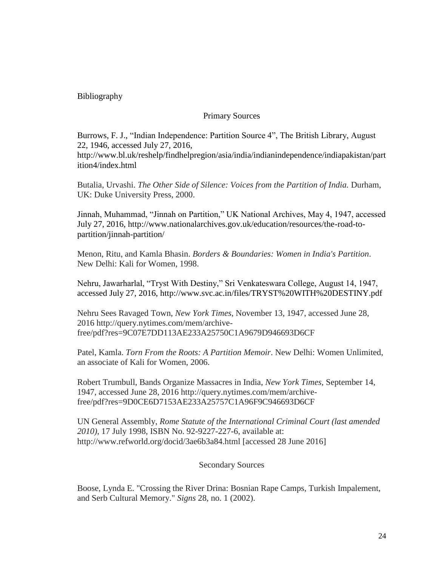## Bibliography

### Primary Sources

Burrows, F. J., "Indian Independence: Partition Source 4", The British Library, August 22, 1946, accessed July 27, 2016, http://www.bl.uk/reshelp/findhelpregion/asia/india/indianindependence/indiapakistan/part ition4/index.html

Butalia, Urvashi. *The Other Side of Silence: Voices from the Partition of India.* Durham, UK: Duke University Press, 2000.

Jinnah, Muhammad, "Jinnah on Partition," UK National Archives, May 4, 1947, accessed July 27, 2016, http://www.nationalarchives.gov.uk/education/resources/the-road-topartition/jinnah-partition/

Menon, Ritu, and Kamla Bhasin. *Borders & Boundaries: Women in India's Partition*. New Delhi: Kali for Women, 1998.

Nehru, Jawarharlal, "Tryst With Destiny," Sri Venkateswara College, August 14, 1947, accessed July 27, 2016, http://www.svc.ac.in/files/TRYST%20WITH%20DESTINY.pdf

Nehru Sees Ravaged Town, *New York Times*, November 13, 1947, accessed June 28, 2016 http://query.nytimes.com/mem/archivefree/pdf?res=9C07E7DD113AE233A25750C1A9679D946693D6CF

Patel, Kamla. *Torn From the Roots: A Partition Memoir*. New Delhi: Women Unlimited, an associate of Kali for Women, 2006.

Robert Trumbull, Bands Organize Massacres in India, *New York Times,* September 14, 1947, accessed June 28, 2016 http://query.nytimes.com/mem/archivefree/pdf?res=9D0CE6D7153AE233A25757C1A96F9C946693D6CF

UN General Assembly, *Rome Statute of the International Criminal Court (last amended 2010)*, 17 July 1998, ISBN No. 92-9227-227-6, available at: http://www.refworld.org/docid/3ae6b3a84.html [accessed 28 June 2016]

#### Secondary Sources

Boose, Lynda E. "Crossing the River Drina: Bosnian Rape Camps, Turkish Impalement, and Serb Cultural Memory." *Signs* 28, no. 1 (2002).